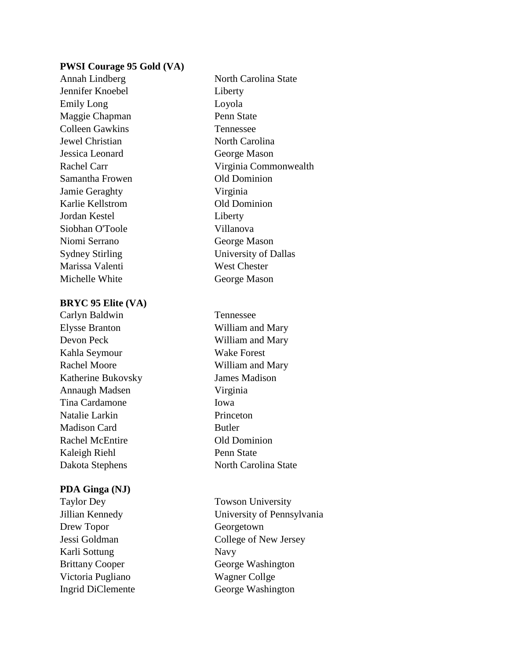### **PWSI Courage 95 Gold (VA)**

Jennifer Knoebel Liberty Emily Long Loyola Maggie Chapman Penn State Colleen Gawkins Tennessee Jewel Christian North Carolina Jessica Leonard George Mason Samantha Frowen **Old Dominion** Jamie Geraghty Virginia Karlie Kellstrom Old Dominion Jordan Kestel Liberty Siobhan O'Toole Villanova Niomi Serrano George Mason Marissa Valenti West Chester Michelle White George Mason

### **BRYC 95 Elite (VA)**

Carlyn Baldwin Tennessee Elysse Branton William and Mary Devon Peck William and Mary Kahla Seymour Wake Forest Rachel Moore William and Mary Katherine Bukovsky James Madison Annaugh Madsen Virginia Tina Cardamone Iowa Natalie Larkin Princeton Madison Card Butler Rachel McEntire **Old Dominion** Kaleigh Riehl Penn State Dakota Stephens North Carolina State

### **PDA Ginga (NJ)**

Taylor Dey Towson University Drew Topor Georgetown Karli Sottung Navy Victoria Pugliano Wagner Collge Ingrid DiClemente George Washington

Annah Lindberg North Carolina State Rachel Carr Virginia Commonwealth Sydney Stirling University of Dallas

Jillian Kennedy University of Pennsylvania Jessi Goldman College of New Jersey Brittany Cooper George Washington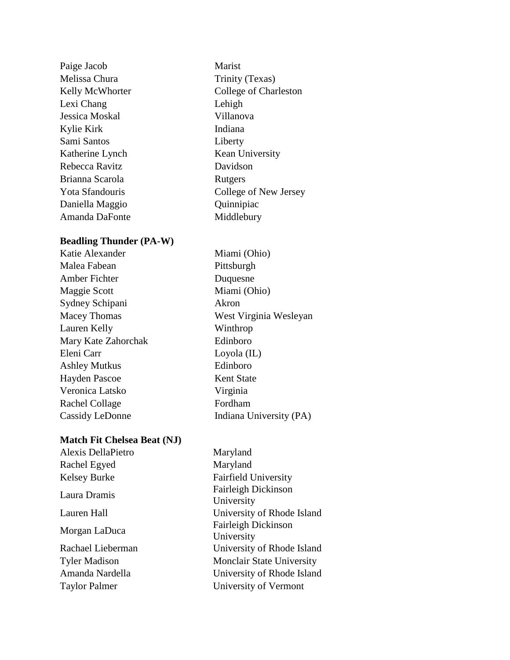| Paige Jacob     | Marist                |
|-----------------|-----------------------|
| Melissa Chura   | Trinity (Texas)       |
| Kelly McWhorter | College of Charleston |
| Lexi Chang      | Lehigh                |
| Jessica Moskal  | Villanova             |
| Kylie Kirk      | Indiana               |
| Sami Santos     | Liberty               |
| Katherine Lynch | Kean University       |
| Rebecca Ravitz  | Davidson              |
| Brianna Scarola | Rutgers               |
| Yota Sfandouris | College of New Jersey |
| Daniella Maggio | Quinnipiac            |
| Amanda DaFonte  | Middlebury            |
|                 |                       |

# **Beadling Thunder (PA-W)**

Malea Fabean Pittsburgh Amber Fichter Duquesne Maggie Scott Miami (Ohio) Sydney Schipani Akron Macey Thomas West Virginia Wesleyan Lauren Kelly Winthrop Mary Kate Zahorchak Edinboro Eleni Carr Loyola (IL) Ashley Mutkus Edinboro Hayden Pascoe Kent State Veronica Latsko Virginia Rachel Collage Fordham Cassidy LeDonne Indiana University (PA)

Katie Alexander Miami (Ohio)

# **Match Fit Chelsea Beat (NJ)**

| Alexis DellaPietro   | Maryland                                 |
|----------------------|------------------------------------------|
| Rachel Egyed         | Maryland                                 |
| Kelsey Burke         | <b>Fairfield University</b>              |
| Laura Dramis         | <b>Fairleigh Dickinson</b><br>University |
| Lauren Hall          | University of Rhode Island               |
| Morgan LaDuca        | Fairleigh Dickinson<br>University        |
| Rachael Lieberman    | University of Rhode Island               |
| <b>Tyler Madison</b> | <b>Monclair State University</b>         |
| Amanda Nardella      | University of Rhode Island               |
| <b>Taylor Palmer</b> | University of Vermont                    |
|                      |                                          |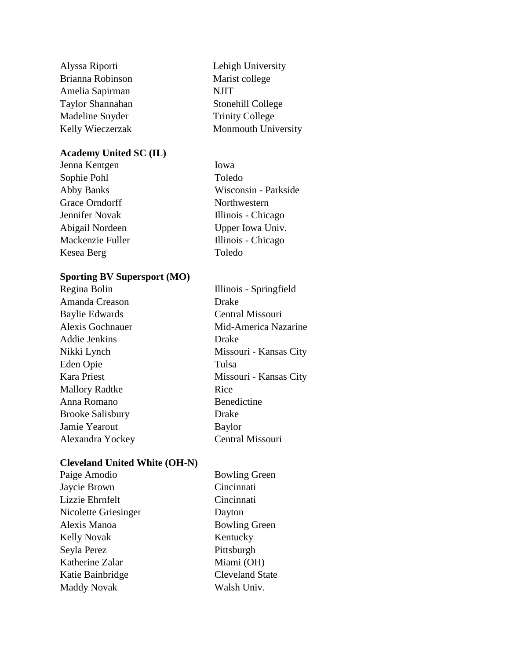Brianna Robinson Marist college Amelia Sapirman NJIT Taylor Shannahan Stonehill College Madeline Snyder Trinity College

# **Academy United SC (IL)**

Jenna Kentgen Iowa Sophie Pohl Toledo Grace Orndorff Northwestern Kesea Berg Toledo

# **Sporting BV Supersport (MO)**

| Regina Bolin            | Illinois - Springfield |
|-------------------------|------------------------|
| Amanda Creason          | Drake                  |
| <b>Baylie Edwards</b>   | Central Missouri       |
| <b>Alexis Gochnauer</b> | Mid-America Nazarine   |
| Addie Jenkins           | Drake                  |
| Nikki Lynch             | Missouri - Kansas City |
| Eden Opie               | Tulsa                  |
| <b>Kara Priest</b>      | Missouri - Kansas City |
| <b>Mallory Radtke</b>   | Rice                   |
| Anna Romano             | Benedictine            |
| <b>Brooke Salisbury</b> | Drake                  |
| Jamie Yearout           | Baylor                 |
| Alexandra Yockey        | Central Missouri       |

# **Cleveland United White (OH-N)**

| Paige Amodio         | <b>Bowling Green</b>   |
|----------------------|------------------------|
| Jaycie Brown         | Cincinnati             |
| Lizzie Ehrnfelt      | Cincinnati             |
| Nicolette Griesinger | Dayton                 |
| Alexis Manoa         | <b>Bowling Green</b>   |
| <b>Kelly Novak</b>   | Kentucky               |
| Seyla Perez          | Pittsburgh             |
| Katherine Zalar      | Miami (OH)             |
| Katie Bainbridge     | <b>Cleveland State</b> |
| <b>Maddy Novak</b>   | Walsh Univ.            |
|                      |                        |

Alyssa Riporti Lehigh University Kelly Wieczerzak Monmouth University

Abby Banks Wisconsin - Parkside Jennifer Novak Illinois - Chicago Abigail Nordeen Upper Iowa Univ. Mackenzie Fuller Illinois - Chicago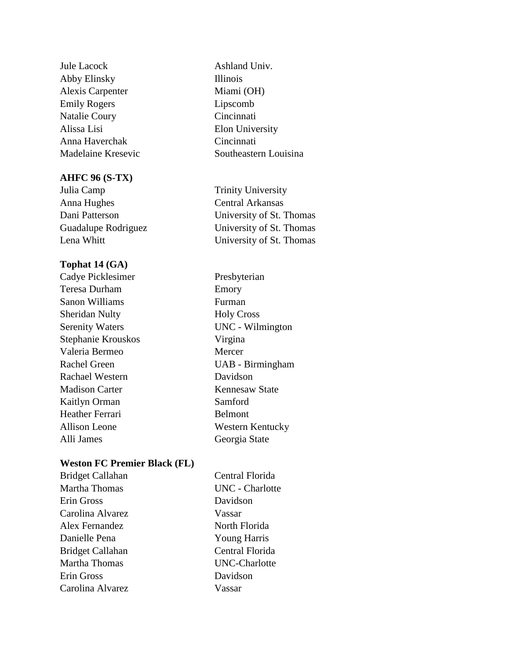Jule Lacock Ashland Univ. Abby Elinsky Illinois Alexis Carpenter Miami (OH) Emily Rogers Lipscomb Natalie Coury Cincinnati Alissa Lisi Elon University Anna Haverchak Cincinnati Madelaine Kresevic Southeastern Louisina

### **AHFC 96 (S-TX)**

Julia Camp Trinity University Anna Hughes Central Arkansas Dani Patterson University of St. Thomas Guadalupe Rodriguez University of St. Thomas Lena Whitt University of St. Thomas

# **Tophat 14 (GA)**

Cadye Picklesimer Presbyterian Teresa Durham Emory Sanon Williams **Furman** Sheridan Nulty Holy Cross Serenity Waters UNC - Wilmington Stephanie Krouskos Virgina Valeria Bermeo Mercer Rachel Green UAB - Birmingham Rachael Western Davidson Madison Carter **Kennesaw State** Kaitlyn Orman Samford Heather Ferrari Belmont Allison Leone Western Kentucky Alli James Georgia State

# **Weston FC Premier Black (FL)**

| Central Florida        |
|------------------------|
| <b>UNC</b> - Charlotte |
| Davidson               |
| Vassar                 |
| North Florida          |
| <b>Young Harris</b>    |
| Central Florida        |
| <b>UNC-Charlotte</b>   |
| Davidson               |
| Vassar                 |
|                        |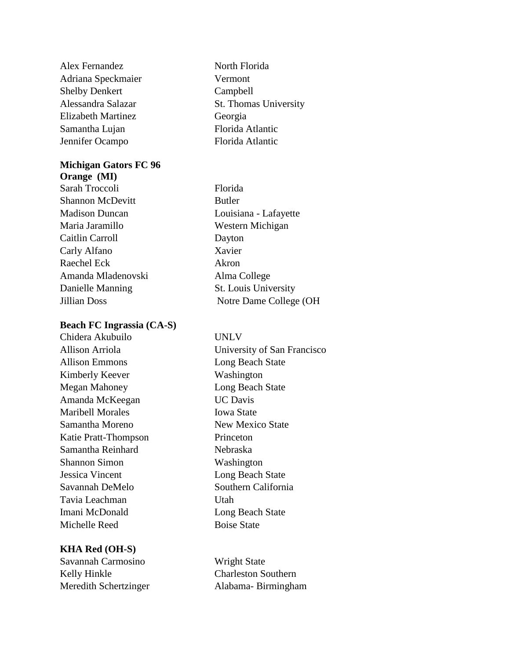Alex Fernandez North Florida Adriana Speckmaier Vermont Shelby Denkert Campbell Elizabeth Martinez Georgia Samantha Lujan Florida Atlantic Jennifer Ocampo Florida Atlantic

# **Michigan Gators FC 96**

**Orange (MI)** Sarah Troccoli Florida Shannon McDevitt Butler Madison Duncan Louisiana - Lafayette Maria Jaramillo Western Michigan Caitlin Carroll Dayton Carly Alfano Xavier Raechel Eck Akron Amanda Mladenovski Alma College Danielle Manning St. Louis University

# **Beach FC Ingrassia (CA-S)**

Chidera Akubuilo UNLV Allison Emmons Long Beach State Kimberly Keever Washington Megan Mahoney Long Beach State Amanda McKeegan UC Davis Maribell Morales **Iowa State** Samantha Moreno New Mexico State Katie Pratt-Thompson Princeton Samantha Reinhard Nebraska Shannon Simon Washington Jessica Vincent Long Beach State Savannah DeMelo Southern California Tavia Leachman Utah Imani McDonald Long Beach State Michelle Reed Boise State

# **KHA Red (OH-S)**

Savannah Carmosino Wright State Kelly Hinkle Charleston Southern

Alessandra Salazar St. Thomas University

Jillian Doss Notre Dame College (OH

Allison Arriola University of San Francisco

Meredith Schertzinger Alabama- Birmingham